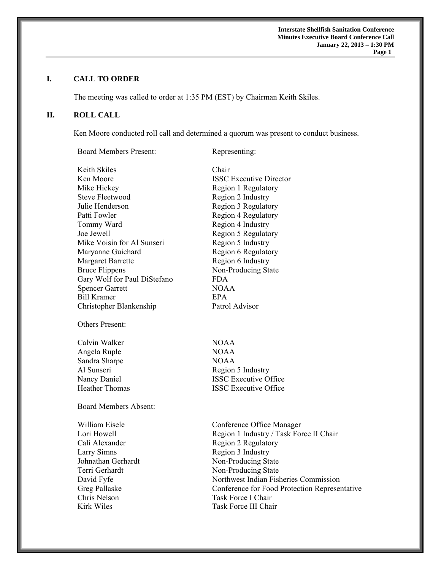**Interstate Shellfish Sanitation Conference Minutes Executive Board Conference Call January 22, 2013 – 1:30 PM**  **Page 1** 

## **I. CALL TO ORDER**

The meeting was called to order at 1:35 PM (EST) by Chairman Keith Skiles.

# **II. ROLL CALL**

Ken Moore conducted roll call and determined a quorum was present to conduct business.

Board Members Present: Representing:

Keith Skiles Chair Ken Moore **ISSC Executive Director** Mike Hickey Region 1 Regulatory Steve Fleetwood Region 2 Industry Julie Henderson Region 3 Regulatory Patti Fowler Region 4 Regulatory Tommy Ward Region 4 Industry Joe Jewell Region 5 Regulatory Mike Voisin for Al Sunseri Region 5 Industry Maryanne Guichard Region 6 Regulatory Margaret Barrette Region 6 Industry Bruce Flippens Non-Producing State Gary Wolf for Paul DiStefano FDA Spencer Garrett NOAA Bill Kramer EPA Christopher Blankenship Patrol Advisor Others Present: Calvin Walker NOAA Angela Ruple NOAA Sandra Sharpe NOAA Al Sunseri Region 5 Industry Nancy Daniel **ISSC Executive Office** Heather Thomas ISSC Executive Office Board Members Absent: William Eisele **Conference Office Manager** Lori Howell Region 1 Industry / Task Force II Chair Cali Alexander Region 2 Regulatory Larry Simns Region 3 Industry Johnathan Gerhardt Non-Producing State Terri Gerhardt Non-Producing State David Fyfe Northwest Indian Fisheries Commission Greg Pallaske Conference for Food Protection Representative Chris Nelson Task Force I Chair Kirk Wiles Task Force III Chair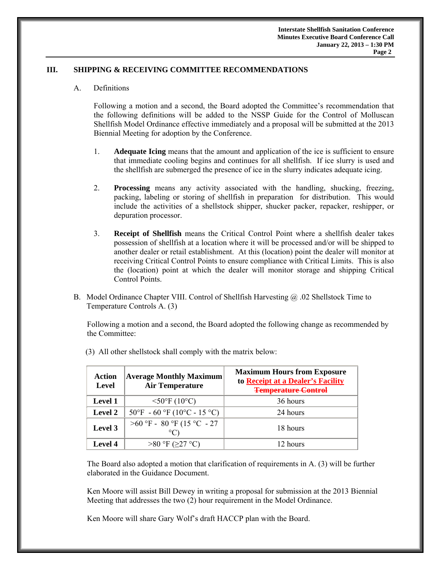### **III. SHIPPING & RECEIVING COMMITTEE RECOMMENDATIONS**

#### A. Definitions

 Following a motion and a second, the Board adopted the Committee's recommendation that the following definitions will be added to the NSSP Guide for the Control of Molluscan Shellfish Model Ordinance effective immediately and a proposal will be submitted at the 2013 Biennial Meeting for adoption by the Conference.

- 1. **Adequate Icing** means that the amount and application of the ice is sufficient to ensure that immediate cooling begins and continues for all shellfish. If ice slurry is used and the shellfish are submerged the presence of ice in the slurry indicates adequate icing.
- 2. **Processing** means any activity associated with the handling, shucking, freezing, packing, labeling or storing of shellfish in preparation for distribution. This would include the activities of a shellstock shipper, shucker packer, repacker, reshipper, or depuration processor.
- 3. **Receipt of Shellfish** means the Critical Control Point where a shellfish dealer takes possession of shellfish at a location where it will be processed and/or will be shipped to another dealer or retail establishment. At this (location) point the dealer will monitor at receiving Critical Control Points to ensure compliance with Critical Limits. This is also the (location) point at which the dealer will monitor storage and shipping Critical Control Points.
- B. Model Ordinance Chapter VIII. Control of Shellfish Harvesting @ .02 Shellstock Time to Temperature Controls A. (3)

Following a motion and a second, the Board adopted the following change as recommended by the Committee:

| Action<br><b>Level</b> | <b>Average Monthly Maximum</b><br><b>Air Temperature</b> | <b>Maximum Hours from Exposure</b><br>to Receipt at a Dealer's Facility<br><b>Temperature Control</b> |
|------------------------|----------------------------------------------------------|-------------------------------------------------------------------------------------------------------|
| <b>Level 1</b>         | $<$ 50°F (10°C)                                          | 36 hours                                                                                              |
| Level 2                | $50^{\circ}$ F - 60 °F (10°C - 15 °C)                    | 24 hours                                                                                              |
| Level 3                | $>60$ °F - 80 °F (15 °C - 27<br>$\circ$ C)               | 18 hours                                                                                              |
| Level 4                | >80 °F (≥27 °C)                                          | 12 hours                                                                                              |

(3) All other shellstock shall comply with the matrix below:

The Board also adopted a motion that clarification of requirements in A. (3) will be further elaborated in the Guidance Document.

Ken Moore will assist Bill Dewey in writing a proposal for submission at the 2013 Biennial Meeting that addresses the two (2) hour requirement in the Model Ordinance.

Ken Moore will share Gary Wolf's draft HACCP plan with the Board.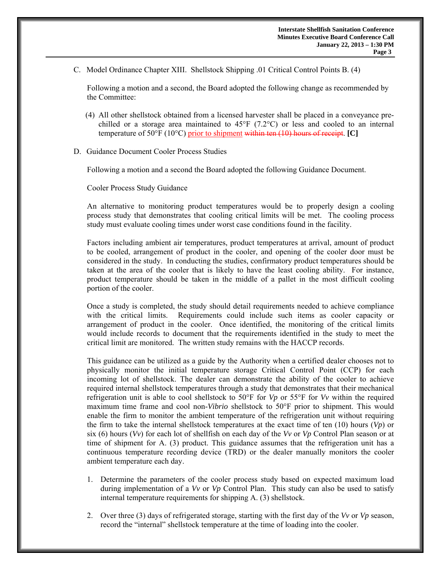C. Model Ordinance Chapter XIII. Shellstock Shipping .01 Critical Control Points B. (4)

Following a motion and a second, the Board adopted the following change as recommended by the Committee:

- (4) All other shellstock obtained from a licensed harvester shall be placed in a conveyance prechilled or a storage area maintained to  $45^{\circ}F$  (7.2°C) or less and cooled to an internal temperature of 50°F (10°C) prior to shipment within ten (10) hours of receipt. **[C]**
- D. Guidance Document Cooler Process Studies

Following a motion and a second the Board adopted the following Guidance Document.

Cooler Process Study Guidance

An alternative to monitoring product temperatures would be to properly design a cooling process study that demonstrates that cooling critical limits will be met. The cooling process study must evaluate cooling times under worst case conditions found in the facility.

Factors including ambient air temperatures, product temperatures at arrival, amount of product to be cooled, arrangement of product in the cooler, and opening of the cooler door must be considered in the study. In conducting the studies, confirmatory product temperatures should be taken at the area of the cooler that is likely to have the least cooling ability. For instance, product temperature should be taken in the middle of a pallet in the most difficult cooling portion of the cooler.

Once a study is completed, the study should detail requirements needed to achieve compliance with the critical limits. Requirements could include such items as cooler capacity or arrangement of product in the cooler. Once identified, the monitoring of the critical limits would include records to document that the requirements identified in the study to meet the critical limit are monitored. The written study remains with the HACCP records.

This guidance can be utilized as a guide by the Authority when a certified dealer chooses not to physically monitor the initial temperature storage Critical Control Point (CCP) for each incoming lot of shellstock. The dealer can demonstrate the ability of the cooler to achieve required internal shellstock temperatures through a study that demonstrates that their mechanical refrigeration unit is able to cool shellstock to 50°F for *Vp* or 55°F for *Vv* within the required maximum time frame and cool non-*Vibrio* shellstock to 50°F prior to shipment. This would enable the firm to monitor the ambient temperature of the refrigeration unit without requiring the firm to take the internal shellstock temperatures at the exact time of ten (10) hours (*Vp*) or six (6) hours (*Vv*) for each lot of shellfish on each day of the *Vv* or *Vp* Control Plan season or at time of shipment for A. (3) product. This guidance assumes that the refrigeration unit has a continuous temperature recording device (TRD) or the dealer manually monitors the cooler ambient temperature each day.

- 1. Determine the parameters of the cooler process study based on expected maximum load during implementation of a *Vv* or *Vp* Control Plan. This study can also be used to satisfy internal temperature requirements for shipping A. (3) shellstock.
- 2. Over three (3) days of refrigerated storage, starting with the first day of the *Vv* or *Vp* season, record the "internal" shellstock temperature at the time of loading into the cooler.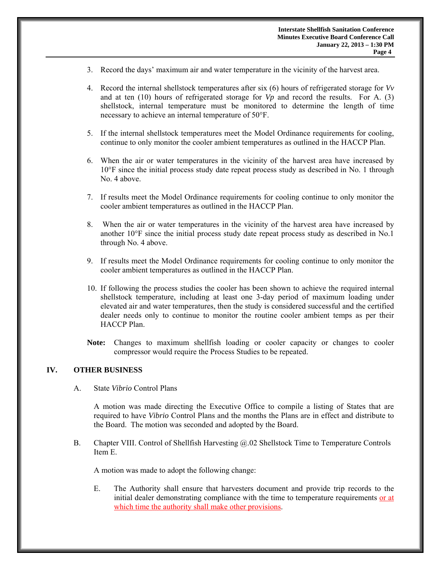- 3. Record the days' maximum air and water temperature in the vicinity of the harvest area.
- 4. Record the internal shellstock temperatures after six (6) hours of refrigerated storage for *Vv* and at ten (10) hours of refrigerated storage for *Vp* and record the results. For A. (3) shellstock, internal temperature must be monitored to determine the length of time necessary to achieve an internal temperature of 50°F.
- 5. If the internal shellstock temperatures meet the Model Ordinance requirements for cooling, continue to only monitor the cooler ambient temperatures as outlined in the HACCP Plan.
- 6. When the air or water temperatures in the vicinity of the harvest area have increased by 10°F since the initial process study date repeat process study as described in No. 1 through No. 4 above.
- 7. If results meet the Model Ordinance requirements for cooling continue to only monitor the cooler ambient temperatures as outlined in the HACCP Plan.
- 8. When the air or water temperatures in the vicinity of the harvest area have increased by another 10°F since the initial process study date repeat process study as described in No.1 through No. 4 above.
- 9. If results meet the Model Ordinance requirements for cooling continue to only monitor the cooler ambient temperatures as outlined in the HACCP Plan.
- 10. If following the process studies the cooler has been shown to achieve the required internal shellstock temperature, including at least one 3-day period of maximum loading under elevated air and water temperatures, then the study is considered successful and the certified dealer needs only to continue to monitor the routine cooler ambient temps as per their HACCP Plan.
- **Note:** Changes to maximum shellfish loading or cooler capacity or changes to cooler compressor would require the Process Studies to be repeated.

## **IV. OTHER BUSINESS**

A. State *Vibrio* Control Plans

A motion was made directing the Executive Office to compile a listing of States that are required to have *Vibrio* Control Plans and the months the Plans are in effect and distribute to the Board. The motion was seconded and adopted by the Board.

B. Chapter VIII. Control of Shellfish Harvesting @.02 Shellstock Time to Temperature Controls Item E.

A motion was made to adopt the following change:

E. The Authority shall ensure that harvesters document and provide trip records to the initial dealer demonstrating compliance with the time to temperature requirements or at which time the authority shall make other provisions.